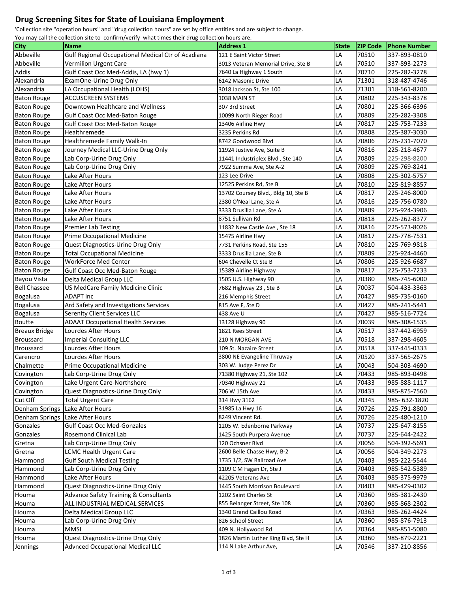## **Drug Screening Sites for State of Louisiana Employment**

'Collection site "operation hours" and "drug collection hours" are set by office entities and are subject to change.

| You may call the collection site to confirm/verify what times their drug collection hours are. |                                                    |                                                                |              |                 |                     |  |  |
|------------------------------------------------------------------------------------------------|----------------------------------------------------|----------------------------------------------------------------|--------------|-----------------|---------------------|--|--|
| City                                                                                           | <b>Name</b>                                        | <b>Address 1</b>                                               | <b>State</b> | <b>ZIP Code</b> | <b>Phone Number</b> |  |  |
| Abbeville                                                                                      | Gulf Regional Occupational Medical Ctr of Acadiana | 121 E Saint Victor Street                                      | LA           | 70510           | 337-893-0810        |  |  |
| Abbeville                                                                                      | <b>Vermilion Urgent Care</b>                       | 3013 Veteran Memorial Drive, Ste B                             | LA           | 70510           | 337-893-2273        |  |  |
| Addis                                                                                          | Gulf Coast Occ Med-Addis, LA (hwy 1)               | 7640 La Highway 1 South                                        | LA           | 70710           | 225-282-3278        |  |  |
| Alexandria                                                                                     | ExamOne-Urine Drug Only                            | 6142 Masonic Drive                                             | LA           | 71301           | 318-487-4746        |  |  |
| Alexandria                                                                                     | LA Occupational Health (LOHS)                      | 3018 Jackson St, Ste 100                                       | LA           | 71301           | 318-561-8200        |  |  |
| <b>Baton Rouge</b>                                                                             | <b>ACCUSCREEN SYSTEMS</b>                          | 1038 MAIN ST                                                   | LA           | 70802           | 225-343-8378        |  |  |
| <b>Baton Rouge</b>                                                                             | Downtown Healthcare and Wellness                   | 307 3rd Street                                                 | LA           | 70801           | 225-366-6396        |  |  |
| <b>Baton Rouge</b>                                                                             | <b>Gulf Coast Occ Med-Baton Rouge</b>              | 10099 North Rieger Road                                        | LA           | 70809           | 225-282-3308        |  |  |
| <b>Baton Rouge</b>                                                                             | <b>Gulf Coast Occ Med-Baton Rouge</b>              | 13406 Airline Hwy                                              | LA           | 70817           | 225-753-7233        |  |  |
| <b>Baton Rouge</b>                                                                             | Healthremede                                       | 3235 Perkins Rd                                                | LA           | 70808           | 225-387-3030        |  |  |
| <b>Baton Rouge</b>                                                                             | Healthremede Family Walk-In                        | 8742 Goodwood Blvd                                             | LA           | 70806           | 225-231-7070        |  |  |
| <b>Baton Rouge</b>                                                                             | Journey Medical LLC-Urine Drug Only                | 11924 Justive Ave, Suite B                                     | LA           | 70816           | 225-218-4677        |  |  |
| <b>Baton Rouge</b>                                                                             | Lab Corp-Urine Drug Only                           | 11441 Industriplex Blvd, Ste 140                               | LA           | 70809           | 225-298-8200        |  |  |
| <b>Baton Rouge</b>                                                                             | Lab Corp-Urine Drug Only                           | 7922 Summa Ave, Ste A-2                                        | LA           | 70809           | 225-769-8241        |  |  |
| <b>Baton Rouge</b>                                                                             | Lake After Hours                                   | 123 Lee Drive                                                  | LA           | 70808           | 225-302-5757        |  |  |
| <b>Baton Rouge</b>                                                                             | Lake After Hours                                   | 12525 Perkins Rd, Ste B                                        | LA           | 70810           | 225-819-8857        |  |  |
| <b>Baton Rouge</b>                                                                             | Lake After Hours                                   |                                                                | LA           | 70817           | 225-246-8000        |  |  |
|                                                                                                |                                                    | 13702 Coursey Blvd., Bldg 10, Ste B<br>2380 O'Neal Lane, Ste A |              |                 |                     |  |  |
| <b>Baton Rouge</b>                                                                             | Lake After Hours                                   |                                                                | LA           | 70816           | 225-756-0780        |  |  |
| <b>Baton Rouge</b>                                                                             | Lake After Hours                                   | 3333 Drusilla Lane, Ste A                                      | LA           | 70809           | 225-924-3906        |  |  |
| <b>Baton Rouge</b>                                                                             | Lake After Hours                                   | 8751 Sullivan Rd                                               | LA           | 70818           | 225-262-8377        |  |  |
| <b>Baton Rouge</b>                                                                             | <b>Premier Lab Testing</b>                         | 11832 New Castle Ave, Ste 18                                   | LA           | 70816           | 225-573-8026        |  |  |
| <b>Baton Rouge</b>                                                                             | Prime Occupational Medicine                        | 15475 Airline Hwy                                              | LA           | 70817           | 225-778-7531        |  |  |
| <b>Baton Rouge</b>                                                                             | Quest Diagnostics-Urine Drug Only                  | 7731 Perkins Road, Ste 155                                     | LA           | 70810           | 225-769-9818        |  |  |
| <b>Baton Rouge</b>                                                                             | <b>Total Occupational Medicine</b>                 | 3333 Drusilla Lane, Ste B                                      | LA           | 70809           | 225-924-4460        |  |  |
| <b>Baton Rouge</b>                                                                             | <b>WorkForce Med Center</b>                        | 604 Chevelle Ct Ste B                                          | LA           | 70806           | 225-926-6687        |  |  |
| <b>Baton Rouge</b>                                                                             | Gulf Coast Occ Med-Baton Rouge                     | 15389 Airline Highway                                          | la           | 70817           | 225-753-7233        |  |  |
| Bayou Vista                                                                                    | Delta Medical Group LLC                            | 1505 U.S. Highway 90                                           | LA           | 70380           | 985-745-6000        |  |  |
| <b>Bell Chassee</b>                                                                            | US MedCare Family Medicine Clinic                  | 7682 Highway 23, Ste B                                         | LA           | 70037           | 504-433-3363        |  |  |
| Bogalusa                                                                                       | <b>ADAPT Inc</b>                                   | 216 Memphis Street                                             | LA           | 70427           | 985-735-0160        |  |  |
| Bogalusa                                                                                       | Ard Safety and Investigations Services             | 815 Ave F, Ste D                                               | LA           | 70427           | 985-241-5441        |  |  |
| <b>Bogalusa</b>                                                                                | <b>Serenity Client Services LLC</b>                | 438 Ave U                                                      | LA           | 70427           | 985-516-7724        |  |  |
| Boutte                                                                                         | <b>ADAAT Occupational Health Services</b>          | 13128 Highway 90                                               | LA           | 70039           | 985-308-1535        |  |  |
| <b>Breaux Bridge</b>                                                                           | Lourdes After Hours                                | 1821 Rees Street                                               | LA           | 70517           | 337-442-6959        |  |  |
| <b>Broussard</b>                                                                               | <b>Imperial Consulting LLC</b>                     | 210 N MORGAN AVE                                               | LA           | 70518           | 337-298-4605        |  |  |
| Broussard                                                                                      | Lourdes After Hours                                | 109 St. Nazaire Street                                         | LA           | 70518           | 337-445-0333        |  |  |
| Carencro                                                                                       | Lourdes After Hours                                | 3800 NE Evangeline Thruway                                     | LA           | 70520           | 337-565-2675        |  |  |
| Chalmette                                                                                      | <b>Prime Occupational Medicine</b>                 | 303 W. Judge Perez Dr                                          | LA           | 70043           | 504-303-4690        |  |  |
| Covington                                                                                      | Lab Corp-Urine Drug Only                           | 71380 Highway 21, Ste 102                                      | LA           | 70433           | 985-893-0498        |  |  |
| Covington                                                                                      | Lake Urgent Care-Northshore                        | 70340 Highway 21                                               | LA           | 70433           | 985-888-1117        |  |  |
| Covington                                                                                      | Quest Diagnostics-Urine Drug Only                  | 706 W 15th Ave                                                 | LA           | 70433           | 985-875-7560        |  |  |
| Cut Off                                                                                        | <b>Total Urgent Care</b>                           | 314 Hwy 3162                                                   | LA           | 70345           | 985-632-1820        |  |  |
| Denham Springs                                                                                 | Lake After Hours                                   | 31985 La Hwy 16                                                | LA           | 70726           | 225-791-8800        |  |  |
| Denham Springs                                                                                 | Lake After Hours                                   | 8249 Vincent Rd.                                               | LA           | 70726           | 225-480-1210        |  |  |
| Gonzales                                                                                       | <b>Gulf Coast Occ Med-Gonzales</b>                 | 1205 W. Edenborne Parkway                                      | LA           | 70737           | 225-647-8155        |  |  |
| Gonzales                                                                                       | Rosemond Clinical Lab                              | 1425 South Purpera Avenue                                      | LA           | 70737           | 225-644-2422        |  |  |
| Gretna                                                                                         | Lab Corp-Urine Drug Only                           | 120 Ochsner Blvd                                               | LA           | 70056           | 504-392-5691        |  |  |
| Gretna                                                                                         | <b>LCMC Health Urgent Care</b>                     | 2600 Belle Chasse Hwy, B-2                                     | LA           | 70056           | 504-349-2273        |  |  |
| Hammond                                                                                        | <b>Gulf South Medical Testing</b>                  | 1735 1/2, SW Railroad Ave                                      | LA           | 70403           | 985-222-5544        |  |  |
| Hammond                                                                                        | Lab Corp-Urine Drug Only                           | 1109 CM Fagan Dr, Ste J                                        | LA           | 70403           | 985-542-5389        |  |  |
| Hammond                                                                                        | Lake After Hours                                   | 42205 Veterans Ave                                             | LA           | 70403           | 985-375-9979        |  |  |
| Hammond                                                                                        | Quest Diagnostics-Urine Drug Only                  | 1445 South Morrison Boulevard                                  | LA           | 70403           | 985-429-0302        |  |  |
| Houma                                                                                          | <b>Advance Safety Training &amp; Consultants</b>   | 1202 Saint Charles St                                          | LA           | 70360           | 985-381-2430        |  |  |
| Houma                                                                                          | ALL INDUSTRIAL MEDICAL SERVICES                    | 855 Belanger Street, Ste 108                                   | LA           | 70360           | 985-868-2302        |  |  |
| Houma                                                                                          | Delta Medical Group LLC                            | 1340 Grand Caillou Road                                        | LA           | 70363           | 985-262-4424        |  |  |
| Houma                                                                                          |                                                    | 826 School Street                                              | LA           | 70360           | 985-876-7913        |  |  |
|                                                                                                | Lab Corp-Urine Drug Only<br><b>MMSI</b>            |                                                                |              | 70364           |                     |  |  |
| Houma                                                                                          |                                                    | 409 N. Hollywood Rd                                            | LA           |                 | 985-851-5080        |  |  |
| Houma                                                                                          | Quest Diagnostics-Urine Drug Only                  | 1826 Martin Luther King Blvd, Ste H                            | LA           | 70360           | 985-879-2221        |  |  |
| Jennings                                                                                       | <b>Advnced Occupational Medical LLC</b>            | 114 N Lake Arthur Ave,                                         | LA           | 70546           | 337-210-8856        |  |  |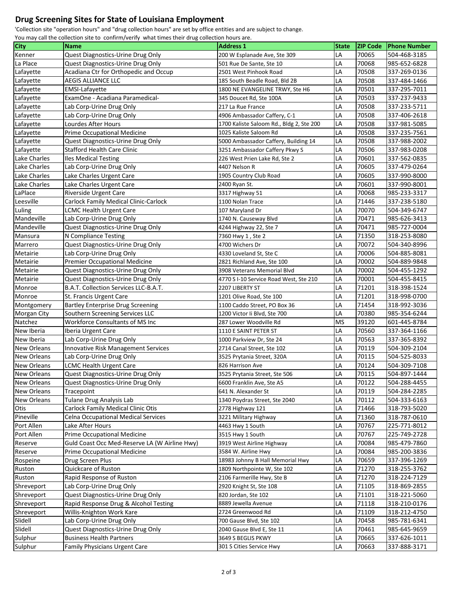## **Drug Screening Sites for State of Louisiana Employment**

'Collection site "operation hours" and "drug collection hours" are set by office entities and are subject to change.

| You may call the collection site to confirm/verify what times their drug collection hours are. |                                               |                                          |              |                 |                     |  |  |
|------------------------------------------------------------------------------------------------|-----------------------------------------------|------------------------------------------|--------------|-----------------|---------------------|--|--|
| City                                                                                           | <b>Name</b>                                   | <b>Address 1</b>                         | <b>State</b> | <b>ZIP Code</b> | <b>Phone Number</b> |  |  |
| Kenner                                                                                         | Quest Diagnostics-Urine Drug Only             | 200 W Esplanade Ave, Ste 309             | LA           | 70065           | 504-468-3185        |  |  |
| La Place                                                                                       | Quest Diagnostics-Urine Drug Only             | 501 Rue De Sante, Ste 10                 | LA           | 70068           | 985-652-6828        |  |  |
| Lafayette                                                                                      | Acadiana Ctr for Orthopedic and Occup         | 2501 West Pinhook Road                   | LA           | 70508           | 337-269-0136        |  |  |
| Lafayette                                                                                      | AEGIS ALLIANCE LLC                            | 185 South Beadle Road, Bld 2B            | LA           | 70508           | 337-484-1466        |  |  |
| Lafayette                                                                                      | <b>EMSI-Lafayette</b>                         | 1800 NE EVANGELINE TRWY, Ste H6          | LA           | 70501           | 337-295-7011        |  |  |
| Lafayette                                                                                      | ExamOne - Acadiana Paramedical-               | 345 Doucet Rd, Ste 100A                  | LA           | 70503           | 337-237-9433        |  |  |
| Lafayette                                                                                      | Lab Corp-Urine Drug Only                      | 217 La Rue France                        | LA           | 70508           | 337-233-5711        |  |  |
| Lafayette                                                                                      | Lab Corp-Urine Drug Only                      | 4906 Ambassador Caffery, C-1             | LA           | 70508           | 337-406-2618        |  |  |
| Lafayette                                                                                      | Lourdes After Hours                           | 1700 Kaliste Saloom Rd., Bldg 2, Ste 200 | LA           | 70508           | 337-981-5085        |  |  |
| Lafayette                                                                                      | Prime Occupational Medicine                   | 1025 Kaliste Saloom Rd                   | LA           | 70508           | 337-235-7561        |  |  |
| Lafayette                                                                                      | Quest Diagnostics-Urine Drug Only             | 5000 Ambassador Caffery, Building 14     | LA           | 70508           | 337-988-2002        |  |  |
| Lafayette                                                                                      | <b>Stafford Health Care Clinic</b>            | 3251 Ambassador Caffery Pkwy S           | LA           | 70506           | 337-983-0208        |  |  |
| Lake Charles                                                                                   | <b>Iles Medical Testing</b>                   | 226 West Prien Lake Rd, Ste 2            | LA           | 70601           | 337-562-0835        |  |  |
|                                                                                                |                                               |                                          |              | 70605           |                     |  |  |
| Lake Charles                                                                                   | Lab Corp-Urine Drug Only                      | 4407 Nelson R                            | LA<br>LA     |                 | 337-479-0264        |  |  |
| Lake Charles                                                                                   | Lake Charles Urgent Care                      | 1905 Country Club Road                   |              | 70605           | 337-990-8000        |  |  |
| Lake Charles                                                                                   | Lake Charles Urgent Care                      | 2400 Ryan St.                            | LA           | 70601           | 337-990-8001        |  |  |
| LaPlace                                                                                        | Riverside Urgent Care                         | 3317 Highway 51                          | LA           | 70068           | 985-233-3317        |  |  |
| Leesville                                                                                      | Carlock Family Medical Clinic-Carlock         | 1100 Nolan Trace                         | LA           | 71446           | 337-238-5180        |  |  |
| Luling                                                                                         | <b>LCMC Health Urgent Care</b>                | 107 Maryland Dr                          | LA           | 70070           | 504-349-6747        |  |  |
| Mandeville                                                                                     | Lab Corp-Urine Drug Only                      | 1740 N. Causeway Blvd                    | LA           | 70471           | 985-626-3413        |  |  |
| Mandeville                                                                                     | Quest Diagnostics-Urine Drug Only             | 4244 Highway 22, Ste 7                   | LA           | 70471           | 985-727-0004        |  |  |
| Mansura                                                                                        | N Compliance Testing                          | 7360 Hwy 1, Ste 2                        | LA           | 71350           | 318-253-8080        |  |  |
| Marrero                                                                                        | Quest Diagnostics-Urine Drug Only             | 4700 Wichers Dr                          | LA           | 70072           | 504-340-8996        |  |  |
| Metairie                                                                                       | Lab Corp-Urine Drug Only                      | 4330 Loveland St, Ste C                  | LA           | 70006           | 504-885-8081        |  |  |
| Metairie                                                                                       | <b>Premier Occupational Medicine</b>          | 2821 Richland Ave, Ste 100               | LA           | 70002           | 504-889-9848        |  |  |
| Metairie                                                                                       | Quest Diagnostics-Urine Drug Only             | 3908 Veterans Memorial Blvd              | LA           | 70002           | 504-455-1292        |  |  |
| Metairie                                                                                       | Quest Diagnostics-Urine Drug Only             | 4770 S I-10 Service Road West, Ste 210   | LA           | 70001           | 504-455-8415        |  |  |
| Monroe                                                                                         | B.A.T. Collection Services LLC-B.A.T.         | 2207 LIBERTY ST                          | LA           | 71201           | 318-398-1524        |  |  |
| Monroe                                                                                         | St. Francis Urgent Care                       | 1201 Olive Road, Ste 100                 | LA           | 71201           | 318-998-0700        |  |  |
| Montgomery                                                                                     | <b>Bartley Enterprise Drug Screening</b>      | 1100 Caddo Street, PO Box 36             | LA           | 71454           | 318-992-3036        |  |  |
| Morgan City                                                                                    | Southern Screening Services LLC               | 1200 Victor Ii Blvd, Ste 700             | LA           | 70380           | 985-354-6244        |  |  |
| Natchez                                                                                        | Workforce Consultants of MS Inc               | 287 Lower Woodville Rd                   | <b>MS</b>    | 39120           | 601-445-8784        |  |  |
| New Iberia                                                                                     | Iberia Urgent Care                            | 1110 E SAINT PETER ST                    | LA           | 70560           | 337-364-1166        |  |  |
| New Iberia                                                                                     | Lab Corp-Urine Drug Only                      | 1000 Parkview Dr, Ste 24                 | LA           | 70563           | 337-365-8392        |  |  |
| New Orleans                                                                                    | Innovative Risk Management Services           | 2714 Canal Street, Ste 102               | LA           | 70119           | 504-309-2104        |  |  |
| New Orleans                                                                                    | Lab Corp-Urine Drug Only                      | 3525 Prytania Street, 320A               | LA           | 70115           | 504-525-8033        |  |  |
| New Orleans                                                                                    | <b>LCMC Health Urgent Care</b>                | 826 Harrison Ave                         | LA           | 70124           | 504-309-7108        |  |  |
| New Orleans                                                                                    | Quest Diagnostics-Urine Drug Only             | 3525 Prytania Street, Ste 506            | LA           | 70115           | 504-897-1444        |  |  |
| New Orleans                                                                                    | Quest Diagnostics-Urine Drug Only             | 6600 Franklin Ave, Ste A5                | LA           | 70122           | 504-288-4455        |  |  |
| New Orleans                                                                                    | Tracepoint                                    | 641 N. Alexander St                      | LA           | 70119           | 504-284-2285        |  |  |
| New Orleans                                                                                    | Tulane Drug Analysis Lab                      | 1340 Poydras Street, Ste 2040            | LA           | 70112           | 504-333-6163        |  |  |
| Otis                                                                                           | Carlock Family Medical Clinic Otis            | 2778 Highway 121                         | LA           | 71466           | 318-793-5020        |  |  |
| Pineville                                                                                      | <b>Celna Occupational Medical Services</b>    | 3221 Military Highway                    | LA           | 71360           | 318-787-0610        |  |  |
|                                                                                                |                                               |                                          |              | 70767           |                     |  |  |
| Port Allen                                                                                     | Lake After Hours                              | 4463 Hwy 1 South<br>3515 Hwy 1 South     | LA           |                 | 225-771-8012        |  |  |
| Port Allen                                                                                     | Prime Occupational Medicine                   |                                          | LA           | 70767           | 225-749-2728        |  |  |
| Reserve                                                                                        | Guld Coast Occ Med-Reserve LA (W Airline Hwy) | 3919 West Airline Highway                | LA           | 70084           | 985-479-7860        |  |  |
| Reserve                                                                                        | <b>Prime Occupational Medicine</b>            | 3584 W. Airline Hwy                      | LA           | 70084           | 985-200-3836        |  |  |
| Rospeine                                                                                       | Drug Screen Plus                              | 18983 Johnny B Hall Memorial Hwy         | LA           | 70659           | 337-396-1269        |  |  |
| Ruston                                                                                         | Quickcare of Ruston                           | 1809 Northpointe W, Ste 102              | LA           | 71270           | 318-255-3762        |  |  |
| Ruston                                                                                         | Rapid Response of Ruston                      | 2106 Farmerille Hwy, Ste B               | LA           | 71270           | 318-224-7129        |  |  |
| Shreveport                                                                                     | Lab Corp-Urine Drug Only                      | 2920 Knight St, Ste 108                  | LA           | 71105           | 318-869-2855        |  |  |
| Shreveport                                                                                     | Quest Diagnostics-Urine Drug Only             | 820 Jordan, Ste 102                      | LA           | 71101           | 318-221-5060        |  |  |
| Shreveport                                                                                     | Rapid Response Drug & Alcohol Testing         | 8889 Jewella Avenue                      | LA           | 71118           | 318-210-0176        |  |  |
| Shreveport                                                                                     | Willis-Knighton Work Kare                     | 2724 Greenwood Rd                        | LA           | 71109           | 318-212-4750        |  |  |
| Slidell                                                                                        | Lab Corp-Urine Drug Only                      | 700 Gause Blvd, Ste 102                  | LA           | 70458           | 985-781-6341        |  |  |
| Slidell                                                                                        | Quest Diagnostics-Urine Drug Only             | 2040 Gause Blvd E, Ste 11                | LA           | 70461           | 985-645-9659        |  |  |
| Sulphur                                                                                        | <b>Business Health Partners</b>               | 3649 S BEGLIS PKWY                       | LA           | 70665           | 337-626-1011        |  |  |
| Sulphur                                                                                        | Family Physicians Urgent Care                 | 301 S Cities Service Hwy                 | LA           | 70663           | 337-888-3171        |  |  |